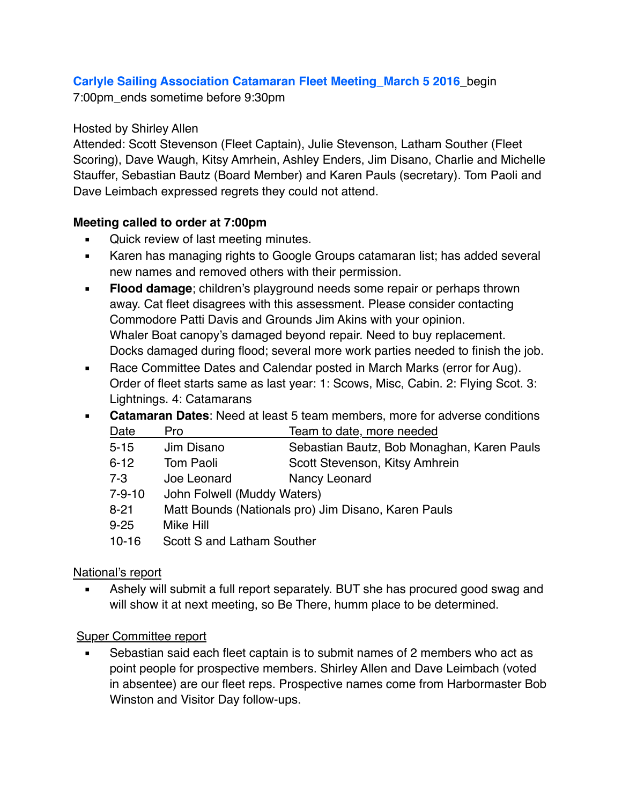# **Carlyle Sailing Association Catamaran Fleet Meeting\_March 5 2016**\_begin

7:00pm\_ends sometime before 9:30pm

#### Hosted by Shirley Allen

Attended: Scott Stevenson (Fleet Captain), Julie Stevenson, Latham Souther (Fleet Scoring), Dave Waugh, Kitsy Amrhein, Ashley Enders, Jim Disano, Charlie and Michelle Stauffer, Sebastian Bautz (Board Member) and Karen Pauls (secretary). Tom Paoli and Dave Leimbach expressed regrets they could not attend.

## **Meeting called to order at 7:00pm**

- **Quick review of last meeting minutes.**
- Karen has managing rights to Google Groups catamaran list; has added several new names and removed others with their permission.
- **Elood damage**; children's playground needs some repair or perhaps thrown away. Cat fleet disagrees with this assessment. Please consider contacting Commodore Patti Davis and Grounds Jim Akins with your opinion. Whaler Boat canopy's damaged beyond repair. Need to buy replacement. Docks damaged during flood; several more work parties needed to finish the job.
- Race Committee Dates and Calendar posted in March Marks (error for Aug). Order of fleet starts same as last year: 1: Scows, Misc, Cabin. 2: Flying Scot. 3: Lightnings. 4: Catamarans
- **Catamaran Dates**: Need at least 5 team members, more for adverse conditions

| Date          | Pro                                                  | Team to date, more needed                  |
|---------------|------------------------------------------------------|--------------------------------------------|
| $5 - 15$      | Jim Disano                                           | Sebastian Bautz, Bob Monaghan, Karen Pauls |
| $6 - 12$      | Tom Paoli                                            | Scott Stevenson, Kitsy Amhrein             |
| 7-3           | Joe Leonard                                          | Nancy Leonard                              |
| 7-9-10        | John Folwell (Muddy Waters)                          |                                            |
| $\sim$ $\sim$ | Mau Barrada (Mautana)ar an Ura Bianan i Izan a Barra |                                            |

8-21 Matt Bounds (Nationals pro) Jim Disano, Karen Pauls

9-25 Mike Hill

10-16 Scott S and Latham Souther

## National's report

Ashely will submit a full report separately. BUT she has procured good swag and will show it at next meeting, so Be There, humm place to be determined.

## Super Committee report

Sebastian said each fleet captain is to submit names of 2 members who act as point people for prospective members. Shirley Allen and Dave Leimbach (voted in absentee) are our fleet reps. Prospective names come from Harbormaster Bob Winston and Visitor Day follow-ups.